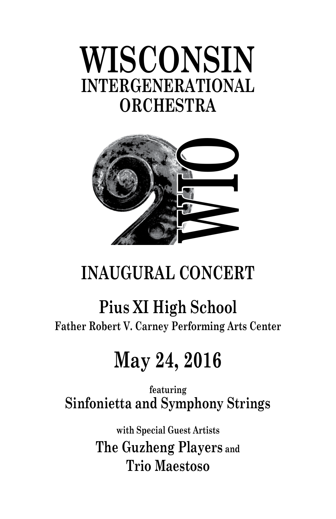# **WISCONSIN INTERGENERATIONAL ORCHESTRA**



# **WISCONSIN INAUGURAL CONCERT**

# **Pius XI High School**

**Father Robert V. Carney Performing Arts Center**

# **May 24, 2016**

**featuring Sinfonietta and Symphony Strings**

> **with Special Guest Artists The Guzheng Players and Trio Maestoso**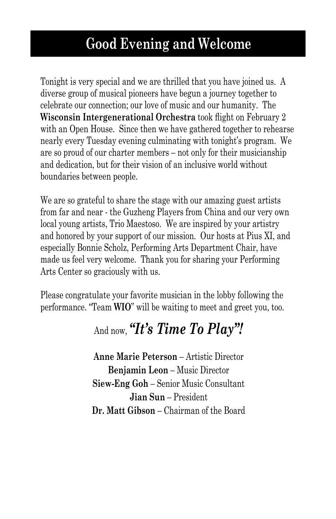# **Good Evening and Welcome**

Tonight is very special and we are thrilled that you have joined us. A diverse group of musical pioneers have begun a journey together to celebrate our connection; our love of music and our humanity. The **Wisconsin Intergenerational Orchestra** took flight on February 2 with an Open House. Since then we have gathered together to rehearse nearly every Tuesday evening culminating with tonight's program. We are so proud of our charter members – not only for their musicianship and dedication, but for their vision of an inclusive world without boundaries between people.

We are so grateful to share the stage with our amazing guest artists from far and near - the Guzheng Players from China and our very own local young artists, Trio Maestoso. We are inspired by your artistry and honored by your support of our mission. Our hosts at Pius XI, and especially Bonnie Scholz, Performing Arts Department Chair, have made us feel very welcome. Thank you for sharing your Performing Arts Center so graciously with us.

Please congratulate your favorite musician in the lobby following the performance. "Team **WIO**" will be waiting to meet and greet you, too.

# And now, *"It's Time To Play"!*

**Anne Marie Peterson** – Artistic Director **Benjamin Leon** – Music Director **Siew-Eng Goh** – Senior Music Consultant **Jian Sun** – President **Dr. Matt Gibson** – Chairman of the Board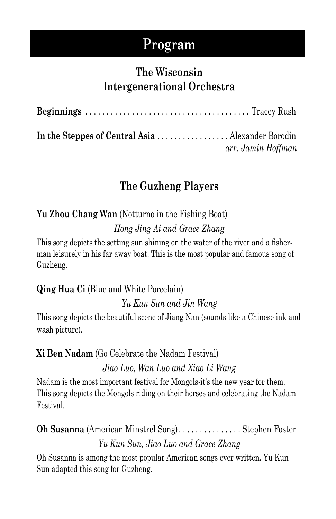# **Program**

## **The Wisconsin Intergenerational Orchestra**

| arr. Jamin Hoffman |
|--------------------|

# **The Guzheng Players**

## **Yu Zhou Chang Wan** (Notturno in the Fishing Boat) *Hong Jing Ai and Grace Zhang*

This song depicts the setting sun shining on the water of the river and a fisherman leisurely in his far away boat. This is the most popular and famous song of Guzheng.

**Qing Hua Ci** (Blue and White Porcelain)

*Yu Kun Sun and Jin Wang*

This song depicts the beautiful scene of Jiang Nan (sounds like a Chinese ink and wash picture).

## **Xi Ben Nadam** (Go Celebrate the Nadam Festival)

*Jiao Luo, Wan Luo and Xiao Li Wang*

Nadam is the most important festival for Mongols-it's the new year for them. This song depicts the Mongols riding on their horses and celebrating the Nadam Festival.

# **Oh Susanna** (American Minstrel Song) . . . . . . . . . . . . . . Stephen Foster *Yu Kun Sun, Jiao Luo and Grace Zhang*

Oh Susanna is among the most popular American songs ever written. Yu Kun Sun adapted this song for Guzheng.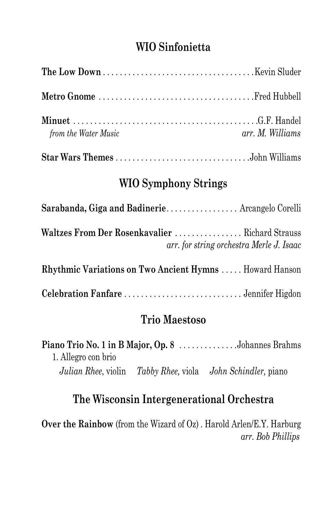### **WIO Sinfonietta**

| <i>from the Water Music</i> | arr. M. Williams |
|-----------------------------|------------------|
|                             |                  |

#### **WIO Symphony Strings**

| Sarabanda, Giga and Badinerie Arcangelo Corelli               |                                          |
|---------------------------------------------------------------|------------------------------------------|
| Waltzes From Der Rosenkavalier  Richard Strauss               | arr. for string orchestra Merle J. Isaac |
| <b>Rhythmic Variations on Two Ancient Hymns Howard Hanson</b> |                                          |
|                                                               |                                          |

## **Trio Maestoso**

|                     | <b>Piano Trio No. 1 in B Major, Op. 8</b> Johannes Brahms   |
|---------------------|-------------------------------------------------------------|
| 1. Allegro con brio |                                                             |
|                     | Julian Rhee, violin Tabby Rhee, viola John Schindler, piano |

### **The Wisconsin Intergenerational Orchestra**

**Over the Rainbow** (from the Wizard of Oz) . Harold Arlen/E.Y. Harburg *arr. Bob Phillips*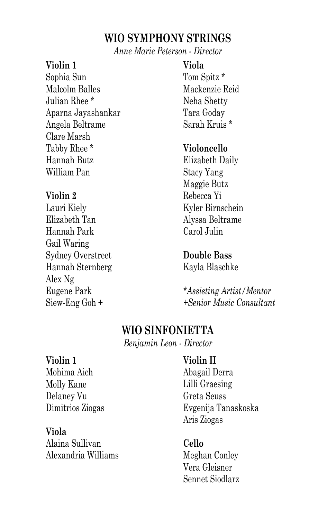#### **WIO SYMPHONY STRINGS**

*Anne Marie Peterson - Director*

#### **Violin 1**

Sophia Sun Malcolm Balles Julian Rhee \* Aparna Jayashankar Angela Beltrame Clare Marsh Tabby Rhee \* Hannah Butz William Pan

#### **Violin 2**

Lauri Kiely Elizabeth Tan Hannah Park Gail Waring Sydney Overstreet Hannah Sternberg Alex Ng Eugene Park Siew-Eng Goh +

#### **Viola**

Tom Spitz \* Mackenzie Reid Neha Shetty Tara Goday Sarah Kruis \*

#### **Violoncello**

Elizabeth Daily Stacy Yang Maggie Butz Rebecca Yi Kyler Birnschein Alyssa Beltrame Carol Julin

#### **Double Bass**

Kayla Blaschke

*\*Assisting Artist/Mentor +Senior Music Consultant*

### **WIO SINFONIETTA**

*Benjamin Leon - Director*

#### **Violin 1**

Mohima Aich Molly Kane Delaney Vu Dimitrios Ziogas

#### **Viola**

Alaina Sullivan Alexandria Williams

#### **Violin II**

Abagail Derra Lilli Graesing Greta Seuss Evgenija Tanaskoska Aris Ziogas

#### **Cello**

Meghan Conley Vera Gleisner Sennet Siodlarz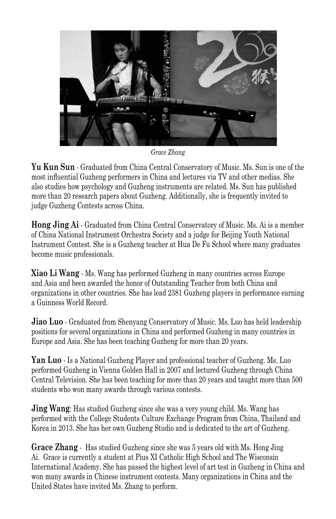

*Grace Zhang*

**Yu Kun Sun** - Graduated from China Central Conservatory of Music. Ms. Sun is one of the most influential Guzheng performers in China and lectures via TV and other medias. She also studies how psychology and Guzheng instruments are related. Ms. Sun has published more than 20 research papers about Guzheng. Additionally, she is frequently invited to judge Guzheng Contests across China.

**Hong Jing Ai** - Graduated from China Central Conservatory of Music. Ms. Ai is a member of China National Instrument Orchestra Society and a judge for Beijing Youth National Instrument Contest. She is a Guzheng teacher at Hua De Fu School where many graduates become music professionals.

**Xiao Li Wang** - Ms. Wang has performed Guzheng in many countries across Europe and Asia and been awarded the honor of Outstanding Teacher from both China and organizations in other countries. She has lead 2381 Guzheng players in performance earning a Guinness World Record.

**Jiao Luo** - Graduated from Shenyang Conservatory of Music. Ms. Luo has held leadership positions for several organizations in China and performed Guzheng in many countries in Europe and Asia. She has been teaching Guzheng for more than 20 years.

**Yan Luo** - Is a National Guzheng Player and professional teacher of Guzheng. Ms. Luo performed Guzheng in Vienna Golden Hall in 2007 and lectured Guzheng through China Central Television. She has been teaching for more than 20 years and taught more than 500 students who won many awards through various contests.

**Jing Wang**: Has studied Guzheng since she was a very young child. Ms. Wang has performed with the College Students Culture Exchange Program from China, Thailand and Korea in 2013. She has her own Guzheng Studio and is dedicated to the art of Guzheng.

**Grace Zhang** - Has studied Guzheng since she was 5 years old with Ms. Hong Jing Ai. Grace is currently a student at Pius XI Catholic High School and The Wisconsin International Academy. She has passed the highest level of art test in Guzheng in China and won many awards in Chinese instrument contests. Many organizations in China and the United States have invited Ms. Zhang to perform.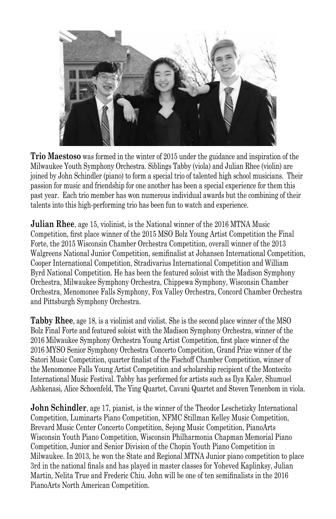

**Trio Maestoso** was formed in the winter of 2015 under the guidance and inspiration of the Milwaukee Youth Symphony Orchestra. Siblings Tabby (viola) and Julian Rhee (violin) are joined by John Schindler (piano) to form a special trio of talented high school musicians. Their passion for music and friendship for one another has been a special experience for them this past year. Each trio member has won numerous individual awards but the combining of their talents into this high-performing trio has been fun to watch and experience.

**Julian Rhee**, age 15, violinist, is the National winner of the 2016 MTNA Music Competition, first place winner of the 2015 MSO Bolz Young Artist Competition the Final Forte, the 2015 Wisconsin Chamber Orchestra Competition, overall winner of the 2013 Walgreens National Junior Competition, semifinalist at Johansen International Competition, Cooper International Competition, Stradivarius International Competition and William Byrd National Competition. He has been the featured soloist with the Madison Symphony Orchestra, Milwaukee Symphony Orchestra, Chippewa Symphony, Wisconsin Chamber Orchestra, Menomonee Falls Symphony, Fox Valley Orchestra, Concord Chamber Orchestra and Pittsburgh Symphony Orchestra.

**Tabby Rhee**, age 18, is a violinist and violist. She is the second place winner of the MSO Bolz Final Forte and featured soloist with the Madison Symphony Orchestra, winner of the 2016 Milwaukee Symphony Orchestra Young Artist Competition, first place winner of the 2016 MYSO Senior Symphony Orchestra Concerto Competition, Grand Prize winner of the Satori Music Competition, quarter finalist of the Fischoff Chamber Competition, winner of the Menomonee Falls Young Artist Competition and scholarship recipient of the Montecito International Music Festival. Tabby has performed for artists such as Ilya Kaler, Shumuel Ashkenasi, Alice Schoenfeld, The Ying Quartet, Cavani Quartet and Steven Tenenbom in viola.

**John Schindler**, age 17, pianist, is the winner of the Theodor Leschetizky International Competition, Luminarts Piano Competition, NFMC Stillman Kelley Music Competition, Brevard Music Center Concerto Competition, Sejong Music Competition, PianoArts Wisconsin Youth Piano Competition, Wisconsin Philharmonia Chapman Memorial Piano Competition, Junior and Senior Division of the Chopin Youth Piano Competition in Milwaukee. In 2013, he won the State and Regional MTNA Junior piano competition to place 3rd in the national finals and has played in master classes for Yoheved Kaplinksy, Julian Martin, Nelita True and Frederic Chiu. John will be one of ten semifinalists in the 2016 PianoArts North American Competition.